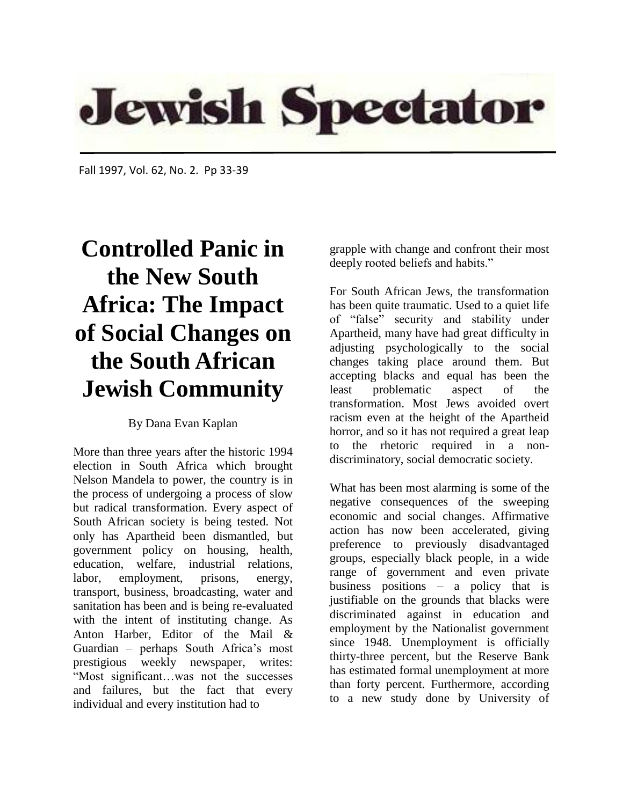

Fall 1997, Vol. 62, No. 2. Pp 33-39

## **Controlled Panic in the New South Africa: The Impact of Social Changes on the South African Jewish Community**

## By Dana Evan Kaplan

More than three years after the historic 1994 election in South Africa which brought Nelson Mandela to power, the country is in the process of undergoing a process of slow but radical transformation. Every aspect of South African society is being tested. Not only has Apartheid been dismantled, but government policy on housing, health, education, welfare, industrial relations, labor, employment, prisons, energy, transport, business, broadcasting, water and sanitation has been and is being re-evaluated with the intent of instituting change. As Anton Harber, Editor of the Mail & Guardian – perhaps South Africa's most prestigious weekly newspaper, writes: "Most significant…was not the successes and failures, but the fact that every individual and every institution had to

grapple with change and confront their most deeply rooted beliefs and habits."

For South African Jews, the transformation has been quite traumatic. Used to a quiet life of "false" security and stability under Apartheid, many have had great difficulty in adjusting psychologically to the social changes taking place around them. But accepting blacks and equal has been the least problematic aspect of the transformation. Most Jews avoided overt racism even at the height of the Apartheid horror, and so it has not required a great leap to the rhetoric required in a nondiscriminatory, social democratic society.

What has been most alarming is some of the negative consequences of the sweeping economic and social changes. Affirmative action has now been accelerated, giving preference to previously disadvantaged groups, especially black people, in a wide range of government and even private business positions – a policy that is justifiable on the grounds that blacks were discriminated against in education and employment by the Nationalist government since 1948. Unemployment is officially thirty-three percent, but the Reserve Bank has estimated formal unemployment at more than forty percent. Furthermore, according to a new study done by University of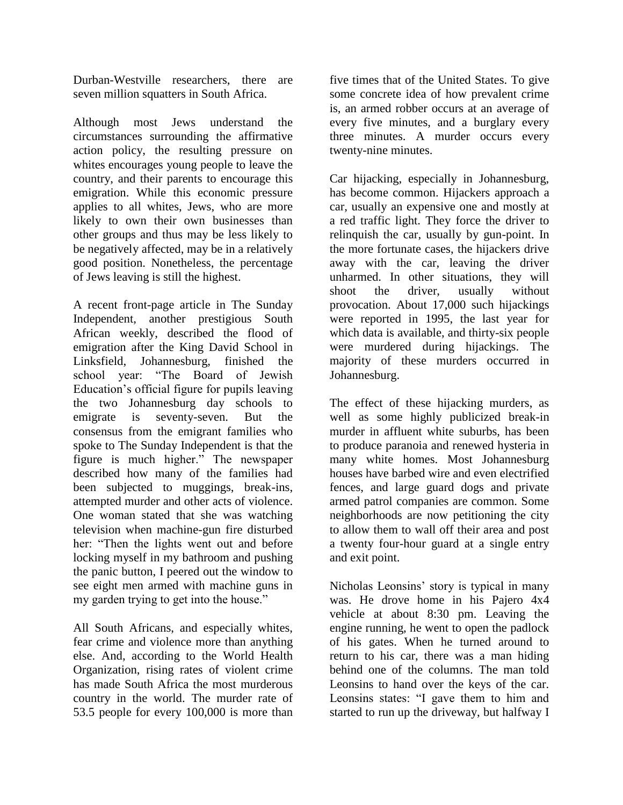Durban-Westville researchers, there are seven million squatters in South Africa.

Although most Jews understand the circumstances surrounding the affirmative action policy, the resulting pressure on whites encourages young people to leave the country, and their parents to encourage this emigration. While this economic pressure applies to all whites, Jews, who are more likely to own their own businesses than other groups and thus may be less likely to be negatively affected, may be in a relatively good position. Nonetheless, the percentage of Jews leaving is still the highest.

A recent front-page article in The Sunday Independent, another prestigious South African weekly, described the flood of emigration after the King David School in Linksfield, Johannesburg, finished the school year: "The Board of Jewish Education's official figure for pupils leaving the two Johannesburg day schools to emigrate is seventy-seven. But the consensus from the emigrant families who spoke to The Sunday Independent is that the figure is much higher." The newspaper described how many of the families had been subjected to muggings, break-ins, attempted murder and other acts of violence. One woman stated that she was watching television when machine-gun fire disturbed her: "Then the lights went out and before locking myself in my bathroom and pushing the panic button, I peered out the window to see eight men armed with machine guns in my garden trying to get into the house."

All South Africans, and especially whites, fear crime and violence more than anything else. And, according to the World Health Organization, rising rates of violent crime has made South Africa the most murderous country in the world. The murder rate of 53.5 people for every 100,000 is more than

five times that of the United States. To give some concrete idea of how prevalent crime is, an armed robber occurs at an average of every five minutes, and a burglary every three minutes. A murder occurs every twenty-nine minutes.

Car hijacking, especially in Johannesburg, has become common. Hijackers approach a car, usually an expensive one and mostly at a red traffic light. They force the driver to relinquish the car, usually by gun-point. In the more fortunate cases, the hijackers drive away with the car, leaving the driver unharmed. In other situations, they will shoot the driver, usually without provocation. About 17,000 such hijackings were reported in 1995, the last year for which data is available, and thirty-six people were murdered during hijackings. The majority of these murders occurred in Johannesburg.

The effect of these hijacking murders, as well as some highly publicized break-in murder in affluent white suburbs, has been to produce paranoia and renewed hysteria in many white homes. Most Johannesburg houses have barbed wire and even electrified fences, and large guard dogs and private armed patrol companies are common. Some neighborhoods are now petitioning the city to allow them to wall off their area and post a twenty four-hour guard at a single entry and exit point.

Nicholas Leonsins' story is typical in many was. He drove home in his Pajero 4x4 vehicle at about 8:30 pm. Leaving the engine running, he went to open the padlock of his gates. When he turned around to return to his car, there was a man hiding behind one of the columns. The man told Leonsins to hand over the keys of the car. Leonsins states: "I gave them to him and started to run up the driveway, but halfway I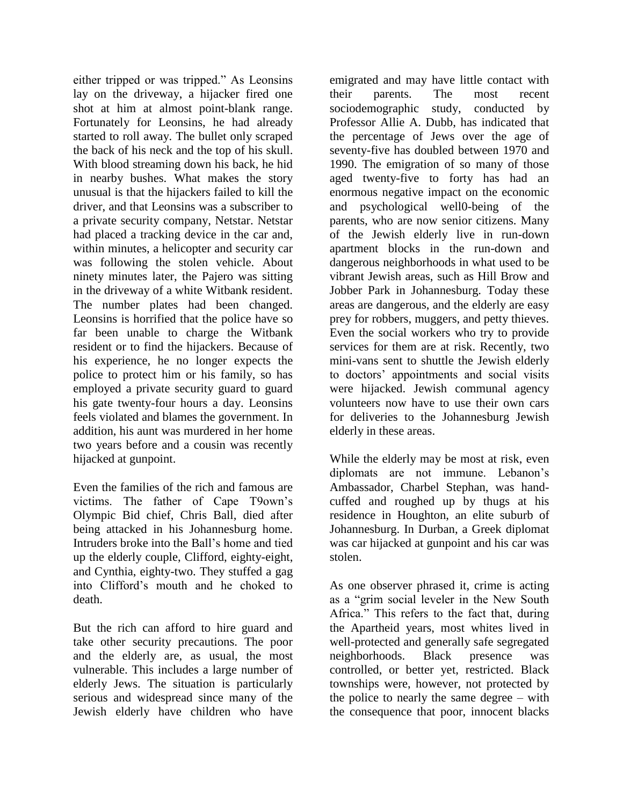either tripped or was tripped." As Leonsins lay on the driveway, a hijacker fired one shot at him at almost point-blank range. Fortunately for Leonsins, he had already started to roll away. The bullet only scraped the back of his neck and the top of his skull. With blood streaming down his back, he hid in nearby bushes. What makes the story unusual is that the hijackers failed to kill the driver, and that Leonsins was a subscriber to a private security company, Netstar. Netstar had placed a tracking device in the car and, within minutes, a helicopter and security car was following the stolen vehicle. About ninety minutes later, the Pajero was sitting in the driveway of a white Witbank resident. The number plates had been changed. Leonsins is horrified that the police have so far been unable to charge the Witbank resident or to find the hijackers. Because of his experience, he no longer expects the police to protect him or his family, so has employed a private security guard to guard his gate twenty-four hours a day. Leonsins feels violated and blames the government. In addition, his aunt was murdered in her home two years before and a cousin was recently hijacked at gunpoint.

Even the families of the rich and famous are victims. The father of Cape T9own's Olympic Bid chief, Chris Ball, died after being attacked in his Johannesburg home. Intruders broke into the Ball's home and tied up the elderly couple, Clifford, eighty-eight, and Cynthia, eighty-two. They stuffed a gag into Clifford's mouth and he choked to death.

But the rich can afford to hire guard and take other security precautions. The poor and the elderly are, as usual, the most vulnerable. This includes a large number of elderly Jews. The situation is particularly serious and widespread since many of the Jewish elderly have children who have

emigrated and may have little contact with their parents. The most recent sociodemographic study, conducted by Professor Allie A. Dubb, has indicated that the percentage of Jews over the age of seventy-five has doubled between 1970 and 1990. The emigration of so many of those aged twenty-five to forty has had an enormous negative impact on the economic and psychological well0-being of the parents, who are now senior citizens. Many of the Jewish elderly live in run-down apartment blocks in the run-down and dangerous neighborhoods in what used to be vibrant Jewish areas, such as Hill Brow and Jobber Park in Johannesburg. Today these areas are dangerous, and the elderly are easy prey for robbers, muggers, and petty thieves. Even the social workers who try to provide services for them are at risk. Recently, two mini-vans sent to shuttle the Jewish elderly to doctors' appointments and social visits were hijacked. Jewish communal agency volunteers now have to use their own cars for deliveries to the Johannesburg Jewish elderly in these areas.

While the elderly may be most at risk, even diplomats are not immune. Lebanon's Ambassador, Charbel Stephan, was handcuffed and roughed up by thugs at his residence in Houghton, an elite suburb of Johannesburg. In Durban, a Greek diplomat was car hijacked at gunpoint and his car was stolen.

As one observer phrased it, crime is acting as a "grim social leveler in the New South Africa." This refers to the fact that, during the Apartheid years, most whites lived in well-protected and generally safe segregated neighborhoods. Black presence was controlled, or better yet, restricted. Black townships were, however, not protected by the police to nearly the same degree – with the consequence that poor, innocent blacks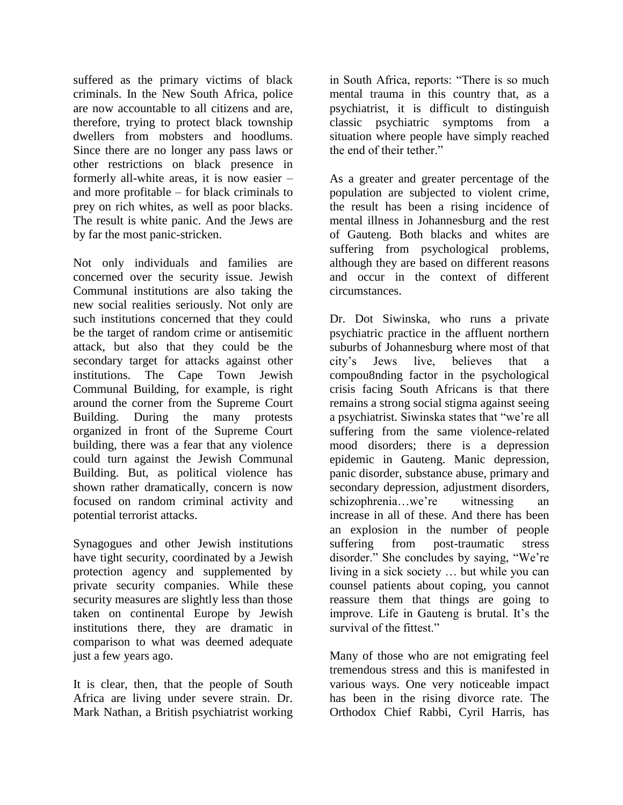suffered as the primary victims of black criminals. In the New South Africa, police are now accountable to all citizens and are, therefore, trying to protect black township dwellers from mobsters and hoodlums. Since there are no longer any pass laws or other restrictions on black presence in formerly all-white areas, it is now easier – and more profitable – for black criminals to prey on rich whites, as well as poor blacks. The result is white panic. And the Jews are by far the most panic-stricken.

Not only individuals and families are concerned over the security issue. Jewish Communal institutions are also taking the new social realities seriously. Not only are such institutions concerned that they could be the target of random crime or antisemitic attack, but also that they could be the secondary target for attacks against other institutions. The Cape Town Jewish Communal Building, for example, is right around the corner from the Supreme Court Building. During the many protests organized in front of the Supreme Court building, there was a fear that any violence could turn against the Jewish Communal Building. But, as political violence has shown rather dramatically, concern is now focused on random criminal activity and potential terrorist attacks.

Synagogues and other Jewish institutions have tight security, coordinated by a Jewish protection agency and supplemented by private security companies. While these security measures are slightly less than those taken on continental Europe by Jewish institutions there, they are dramatic in comparison to what was deemed adequate just a few years ago.

It is clear, then, that the people of South Africa are living under severe strain. Dr. Mark Nathan, a British psychiatrist working

in South Africa, reports: "There is so much mental trauma in this country that, as a psychiatrist, it is difficult to distinguish classic psychiatric symptoms from a situation where people have simply reached the end of their tether."

As a greater and greater percentage of the population are subjected to violent crime, the result has been a rising incidence of mental illness in Johannesburg and the rest of Gauteng. Both blacks and whites are suffering from psychological problems, although they are based on different reasons and occur in the context of different circumstances.

Dr. Dot Siwinska, who runs a private psychiatric practice in the affluent northern suburbs of Johannesburg where most of that city's Jews live, believes that a compou8nding factor in the psychological crisis facing South Africans is that there remains a strong social stigma against seeing a psychiatrist. Siwinska states that "we're all suffering from the same violence-related mood disorders; there is a depression epidemic in Gauteng. Manic depression, panic disorder, substance abuse, primary and secondary depression, adjustment disorders, schizophrenia…we're witnessing an increase in all of these. And there has been an explosion in the number of people suffering from post-traumatic stress disorder." She concludes by saying, "We're living in a sick society … but while you can counsel patients about coping, you cannot reassure them that things are going to improve. Life in Gauteng is brutal. It's the survival of the fittest."

Many of those who are not emigrating feel tremendous stress and this is manifested in various ways. One very noticeable impact has been in the rising divorce rate. The Orthodox Chief Rabbi, Cyril Harris, has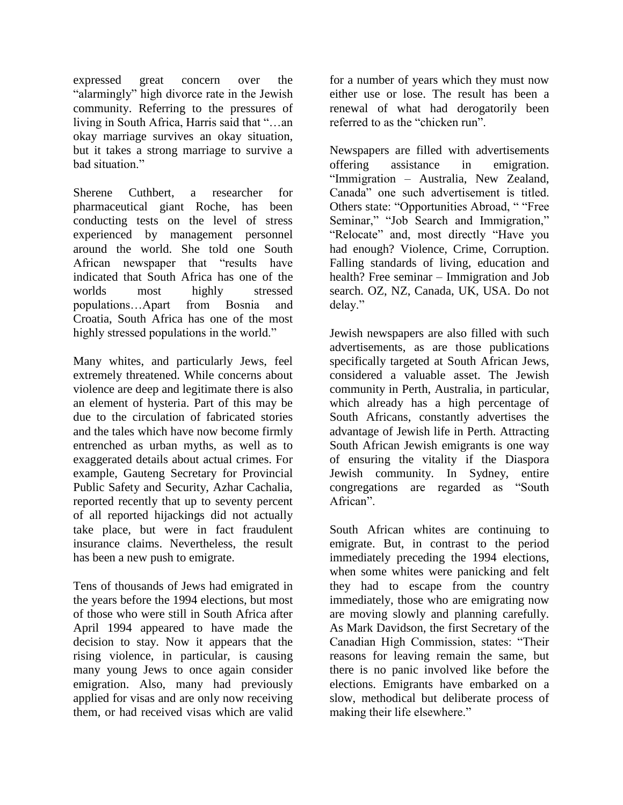expressed great concern over the "alarmingly" high divorce rate in the Jewish community. Referring to the pressures of living in South Africa, Harris said that "…an okay marriage survives an okay situation, but it takes a strong marriage to survive a bad situation"

Sherene Cuthbert, a researcher for pharmaceutical giant Roche, has been conducting tests on the level of stress experienced by management personnel around the world. She told one South African newspaper that "results have indicated that South Africa has one of the worlds most highly stressed populations…Apart from Bosnia and Croatia, South Africa has one of the most highly stressed populations in the world."

Many whites, and particularly Jews, feel extremely threatened. While concerns about violence are deep and legitimate there is also an element of hysteria. Part of this may be due to the circulation of fabricated stories and the tales which have now become firmly entrenched as urban myths, as well as to exaggerated details about actual crimes. For example, Gauteng Secretary for Provincial Public Safety and Security, Azhar Cachalia, reported recently that up to seventy percent of all reported hijackings did not actually take place, but were in fact fraudulent insurance claims. Nevertheless, the result has been a new push to emigrate.

Tens of thousands of Jews had emigrated in the years before the 1994 elections, but most of those who were still in South Africa after April 1994 appeared to have made the decision to stay. Now it appears that the rising violence, in particular, is causing many young Jews to once again consider emigration. Also, many had previously applied for visas and are only now receiving them, or had received visas which are valid

for a number of years which they must now either use or lose. The result has been a renewal of what had derogatorily been referred to as the "chicken run".

Newspapers are filled with advertisements offering assistance in emigration. "Immigration – Australia, New Zealand, Canada" one such advertisement is titled. Others state: "Opportunities Abroad, " "Free Seminar," "Job Search and Immigration," "Relocate" and, most directly "Have you had enough? Violence, Crime, Corruption. Falling standards of living, education and health? Free seminar – Immigration and Job search. OZ, NZ, Canada, UK, USA. Do not delay."

Jewish newspapers are also filled with such advertisements, as are those publications specifically targeted at South African Jews, considered a valuable asset. The Jewish community in Perth, Australia, in particular, which already has a high percentage of South Africans, constantly advertises the advantage of Jewish life in Perth. Attracting South African Jewish emigrants is one way of ensuring the vitality if the Diaspora Jewish community. In Sydney, entire congregations are regarded as "South African".

South African whites are continuing to emigrate. But, in contrast to the period immediately preceding the 1994 elections, when some whites were panicking and felt they had to escape from the country immediately, those who are emigrating now are moving slowly and planning carefully. As Mark Davidson, the first Secretary of the Canadian High Commission, states: "Their reasons for leaving remain the same, but there is no panic involved like before the elections. Emigrants have embarked on a slow, methodical but deliberate process of making their life elsewhere."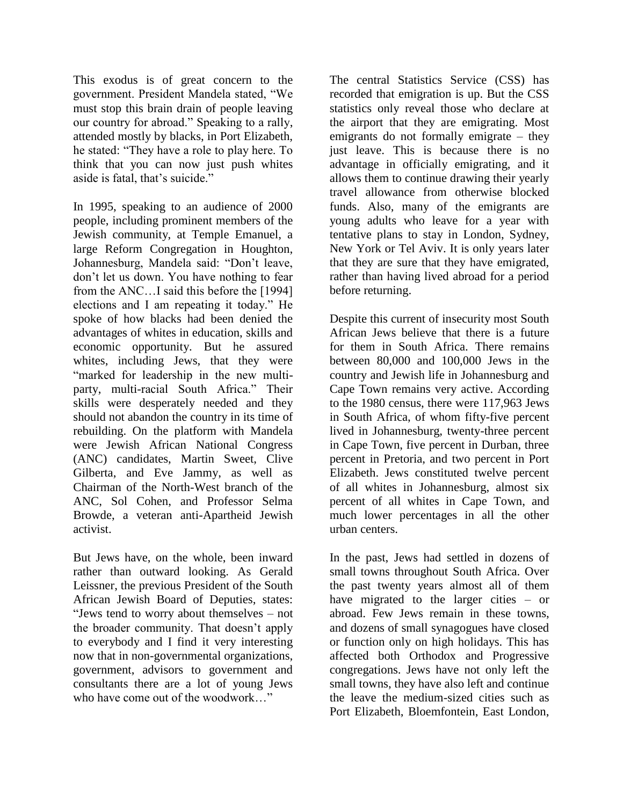This exodus is of great concern to the government. President Mandela stated, "We must stop this brain drain of people leaving our country for abroad." Speaking to a rally, attended mostly by blacks, in Port Elizabeth, he stated: "They have a role to play here. To think that you can now just push whites aside is fatal, that's suicide."

In 1995, speaking to an audience of 2000 people, including prominent members of the Jewish community, at Temple Emanuel, a large Reform Congregation in Houghton, Johannesburg, Mandela said: "Don't leave, don't let us down. You have nothing to fear from the ANC…I said this before the [1994] elections and I am repeating it today." He spoke of how blacks had been denied the advantages of whites in education, skills and economic opportunity. But he assured whites, including Jews, that they were "marked for leadership in the new multiparty, multi-racial South Africa." Their skills were desperately needed and they should not abandon the country in its time of rebuilding. On the platform with Mandela were Jewish African National Congress (ANC) candidates, Martin Sweet, Clive Gilberta, and Eve Jammy, as well as Chairman of the North-West branch of the ANC, Sol Cohen, and Professor Selma Browde, a veteran anti-Apartheid Jewish activist.

But Jews have, on the whole, been inward rather than outward looking. As Gerald Leissner, the previous President of the South African Jewish Board of Deputies, states: "Jews tend to worry about themselves – not the broader community. That doesn't apply to everybody and I find it very interesting now that in non-governmental organizations, government, advisors to government and consultants there are a lot of young Jews who have come out of the woodwork…"

The central Statistics Service (CSS) has recorded that emigration is up. But the CSS statistics only reveal those who declare at the airport that they are emigrating. Most emigrants do not formally emigrate – they just leave. This is because there is no advantage in officially emigrating, and it allows them to continue drawing their yearly travel allowance from otherwise blocked funds. Also, many of the emigrants are young adults who leave for a year with tentative plans to stay in London, Sydney, New York or Tel Aviv. It is only years later that they are sure that they have emigrated, rather than having lived abroad for a period before returning.

Despite this current of insecurity most South African Jews believe that there is a future for them in South Africa. There remains between 80,000 and 100,000 Jews in the country and Jewish life in Johannesburg and Cape Town remains very active. According to the 1980 census, there were 117,963 Jews in South Africa, of whom fifty-five percent lived in Johannesburg, twenty-three percent in Cape Town, five percent in Durban, three percent in Pretoria, and two percent in Port Elizabeth. Jews constituted twelve percent of all whites in Johannesburg, almost six percent of all whites in Cape Town, and much lower percentages in all the other urban centers.

In the past, Jews had settled in dozens of small towns throughout South Africa. Over the past twenty years almost all of them have migrated to the larger cities – or abroad. Few Jews remain in these towns, and dozens of small synagogues have closed or function only on high holidays. This has affected both Orthodox and Progressive congregations. Jews have not only left the small towns, they have also left and continue the leave the medium-sized cities such as Port Elizabeth, Bloemfontein, East London,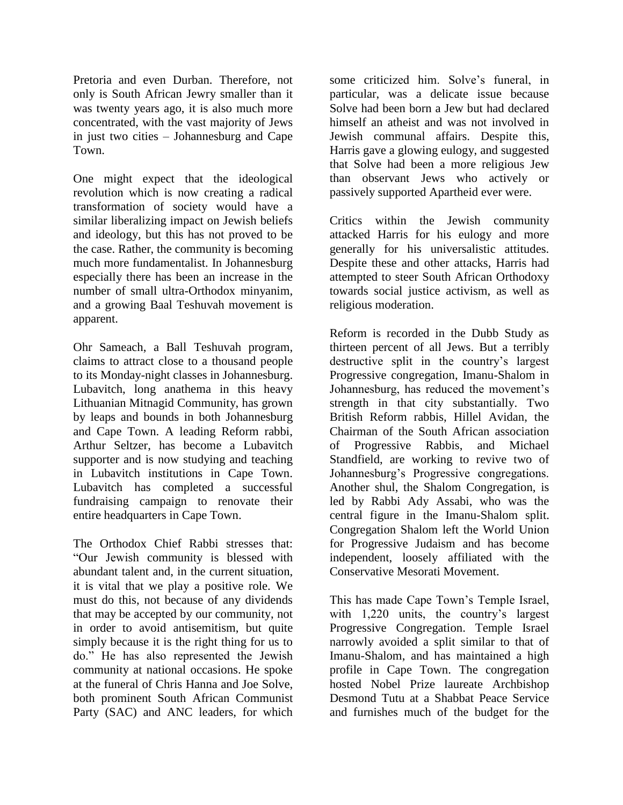Pretoria and even Durban. Therefore, not only is South African Jewry smaller than it was twenty years ago, it is also much more concentrated, with the vast majority of Jews in just two cities – Johannesburg and Cape Town.

One might expect that the ideological revolution which is now creating a radical transformation of society would have a similar liberalizing impact on Jewish beliefs and ideology, but this has not proved to be the case. Rather, the community is becoming much more fundamentalist. In Johannesburg especially there has been an increase in the number of small ultra-Orthodox minyanim, and a growing Baal Teshuvah movement is apparent.

Ohr Sameach, a Ball Teshuvah program, claims to attract close to a thousand people to its Monday-night classes in Johannesburg. Lubavitch, long anathema in this heavy Lithuanian Mitnagid Community, has grown by leaps and bounds in both Johannesburg and Cape Town. A leading Reform rabbi, Arthur Seltzer, has become a Lubavitch supporter and is now studying and teaching in Lubavitch institutions in Cape Town. Lubavitch has completed a successful fundraising campaign to renovate their entire headquarters in Cape Town.

The Orthodox Chief Rabbi stresses that: "Our Jewish community is blessed with abundant talent and, in the current situation, it is vital that we play a positive role. We must do this, not because of any dividends that may be accepted by our community, not in order to avoid antisemitism, but quite simply because it is the right thing for us to do." He has also represented the Jewish community at national occasions. He spoke at the funeral of Chris Hanna and Joe Solve, both prominent South African Communist Party (SAC) and ANC leaders, for which some criticized him. Solve's funeral, in particular, was a delicate issue because Solve had been born a Jew but had declared himself an atheist and was not involved in Jewish communal affairs. Despite this, Harris gave a glowing eulogy, and suggested that Solve had been a more religious Jew than observant Jews who actively or passively supported Apartheid ever were.

Critics within the Jewish community attacked Harris for his eulogy and more generally for his universalistic attitudes. Despite these and other attacks, Harris had attempted to steer South African Orthodoxy towards social justice activism, as well as religious moderation.

Reform is recorded in the Dubb Study as thirteen percent of all Jews. But a terribly destructive split in the country's largest Progressive congregation, Imanu-Shalom in Johannesburg, has reduced the movement's strength in that city substantially. Two British Reform rabbis, Hillel Avidan, the Chairman of the South African association of Progressive Rabbis, and Michael Standfield, are working to revive two of Johannesburg's Progressive congregations. Another shul, the Shalom Congregation, is led by Rabbi Ady Assabi, who was the central figure in the Imanu-Shalom split. Congregation Shalom left the World Union for Progressive Judaism and has become independent, loosely affiliated with the Conservative Mesorati Movement.

This has made Cape Town's Temple Israel, with 1,220 units, the country's largest Progressive Congregation. Temple Israel narrowly avoided a split similar to that of Imanu-Shalom, and has maintained a high profile in Cape Town. The congregation hosted Nobel Prize laureate Archbishop Desmond Tutu at a Shabbat Peace Service and furnishes much of the budget for the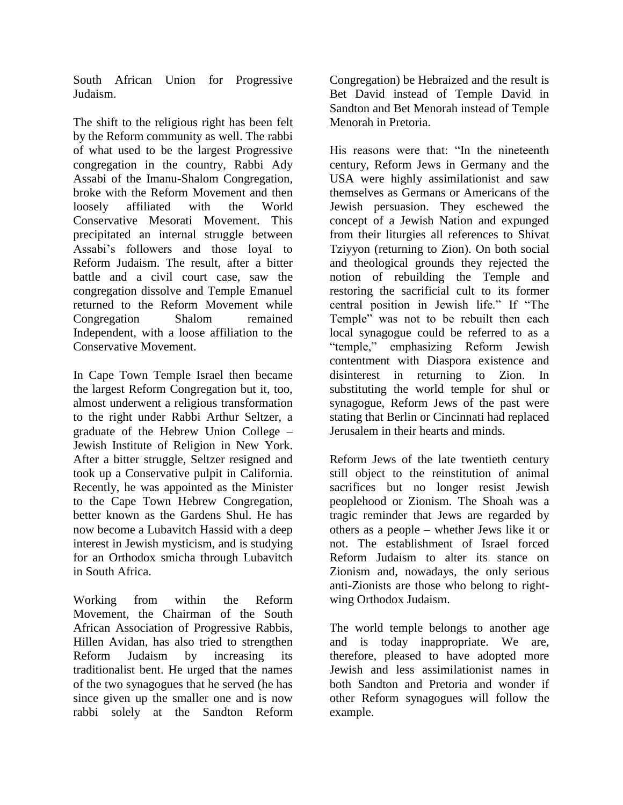South African Union for Progressive Judaism.

The shift to the religious right has been felt by the Reform community as well. The rabbi of what used to be the largest Progressive congregation in the country, Rabbi Ady Assabi of the Imanu-Shalom Congregation, broke with the Reform Movement and then loosely affiliated with the World Conservative Mesorati Movement. This precipitated an internal struggle between Assabi's followers and those loyal to Reform Judaism. The result, after a bitter battle and a civil court case, saw the congregation dissolve and Temple Emanuel returned to the Reform Movement while Congregation Shalom remained Independent, with a loose affiliation to the Conservative Movement.

In Cape Town Temple Israel then became the largest Reform Congregation but it, too, almost underwent a religious transformation to the right under Rabbi Arthur Seltzer, a graduate of the Hebrew Union College – Jewish Institute of Religion in New York. After a bitter struggle, Seltzer resigned and took up a Conservative pulpit in California. Recently, he was appointed as the Minister to the Cape Town Hebrew Congregation, better known as the Gardens Shul. He has now become a Lubavitch Hassid with a deep interest in Jewish mysticism, and is studying for an Orthodox smicha through Lubavitch in South Africa.

Working from within the Reform Movement, the Chairman of the South African Association of Progressive Rabbis, Hillen Avidan, has also tried to strengthen Reform Judaism by increasing its traditionalist bent. He urged that the names of the two synagogues that he served (he has since given up the smaller one and is now rabbi solely at the Sandton Reform Congregation) be Hebraized and the result is Bet David instead of Temple David in Sandton and Bet Menorah instead of Temple Menorah in Pretoria.

His reasons were that: "In the nineteenth century, Reform Jews in Germany and the USA were highly assimilationist and saw themselves as Germans or Americans of the Jewish persuasion. They eschewed the concept of a Jewish Nation and expunged from their liturgies all references to Shivat Tziyyon (returning to Zion). On both social and theological grounds they rejected the notion of rebuilding the Temple and restoring the sacrificial cult to its former central position in Jewish life." If "The Temple" was not to be rebuilt then each local synagogue could be referred to as a "temple," emphasizing Reform Jewish contentment with Diaspora existence and disinterest in returning to Zion. In substituting the world temple for shul or synagogue, Reform Jews of the past were stating that Berlin or Cincinnati had replaced Jerusalem in their hearts and minds.

Reform Jews of the late twentieth century still object to the reinstitution of animal sacrifices but no longer resist Jewish peoplehood or Zionism. The Shoah was a tragic reminder that Jews are regarded by others as a people – whether Jews like it or not. The establishment of Israel forced Reform Judaism to alter its stance on Zionism and, nowadays, the only serious anti-Zionists are those who belong to rightwing Orthodox Judaism.

The world temple belongs to another age and is today inappropriate. We are, therefore, pleased to have adopted more Jewish and less assimilationist names in both Sandton and Pretoria and wonder if other Reform synagogues will follow the example.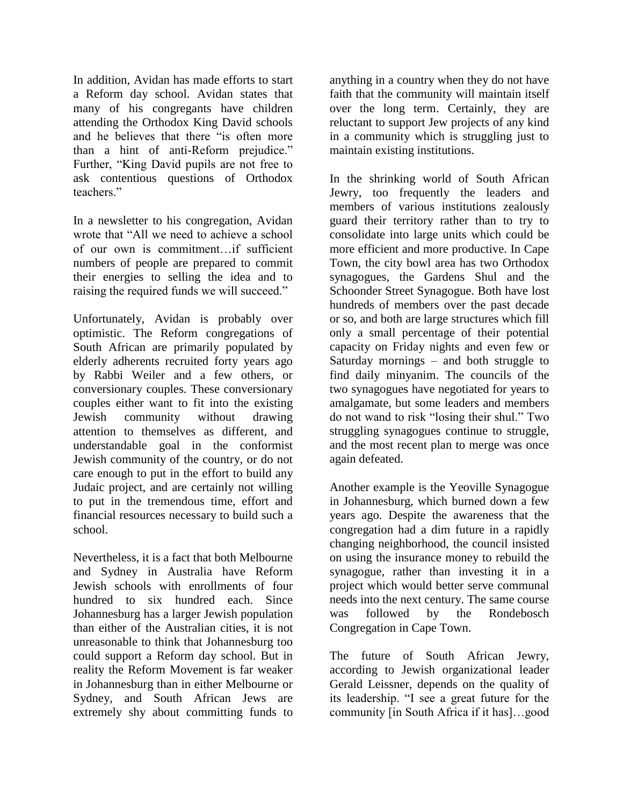In addition, Avidan has made efforts to start a Reform day school. Avidan states that many of his congregants have children attending the Orthodox King David schools and he believes that there "is often more than a hint of anti-Reform prejudice." Further, "King David pupils are not free to ask contentious questions of Orthodox teachers."

In a newsletter to his congregation, Avidan wrote that "All we need to achieve a school of our own is commitment…if sufficient numbers of people are prepared to commit their energies to selling the idea and to raising the required funds we will succeed."

Unfortunately, Avidan is probably over optimistic. The Reform congregations of South African are primarily populated by elderly adherents recruited forty years ago by Rabbi Weiler and a few others, or conversionary couples. These conversionary couples either want to fit into the existing Jewish community without drawing attention to themselves as different, and understandable goal in the conformist Jewish community of the country, or do not care enough to put in the effort to build any Judaic project, and are certainly not willing to put in the tremendous time, effort and financial resources necessary to build such a school.

Nevertheless, it is a fact that both Melbourne and Sydney in Australia have Reform Jewish schools with enrollments of four hundred to six hundred each. Since Johannesburg has a larger Jewish population than either of the Australian cities, it is not unreasonable to think that Johannesburg too could support a Reform day school. But in reality the Reform Movement is far weaker in Johannesburg than in either Melbourne or Sydney, and South African Jews are extremely shy about committing funds to

anything in a country when they do not have faith that the community will maintain itself over the long term. Certainly, they are reluctant to support Jew projects of any kind in a community which is struggling just to maintain existing institutions.

In the shrinking world of South African Jewry, too frequently the leaders and members of various institutions zealously guard their territory rather than to try to consolidate into large units which could be more efficient and more productive. In Cape Town, the city bowl area has two Orthodox synagogues, the Gardens Shul and the Schoonder Street Synagogue. Both have lost hundreds of members over the past decade or so, and both are large structures which fill only a small percentage of their potential capacity on Friday nights and even few or Saturday mornings – and both struggle to find daily minyanim. The councils of the two synagogues have negotiated for years to amalgamate, but some leaders and members do not wand to risk "losing their shul." Two struggling synagogues continue to struggle, and the most recent plan to merge was once again defeated.

Another example is the Yeoville Synagogue in Johannesburg, which burned down a few years ago. Despite the awareness that the congregation had a dim future in a rapidly changing neighborhood, the council insisted on using the insurance money to rebuild the synagogue, rather than investing it in a project which would better serve communal needs into the next century. The same course was followed by the Rondebosch Congregation in Cape Town.

The future of South African Jewry, according to Jewish organizational leader Gerald Leissner, depends on the quality of its leadership. "I see a great future for the community [in South Africa if it has]…good